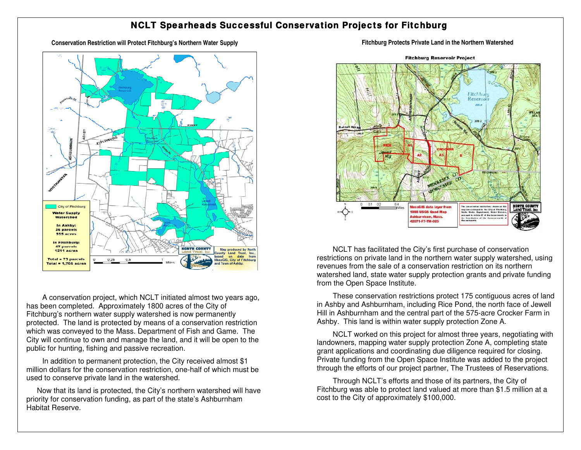## **NCLT Spearheads Successful Conservation Projects for Fitchburg**

**Conservation Restriction will Protect Fitchburg's Northern Water Supply Fitchburg Protects Private Land in the Northern Watershed** 



A conservation project, which NCLT initiated almost two years ago, has been completed. Approximately 1800 acres of the City of Fitchburg's northern water supply watershed is now permanently protected. The land is protected by means of a conservation restriction which was conveyed to the Mass. Department of Fish and Game. The City will continue to own and manage the land, and it will be open to the public for hunting, fishing and passive recreation.

In addition to permanent protection, the City received almost \$1 million dollars for the conservation restriction, one-half of which must be used to conserve private land in the watershed.

Now that its land is protected, the City's northern watershed will have priority for conservation funding, as part of the state's Ashburnham Habitat Reserve.



**Fitchburg Reservoir Project** 

NCLT has facilitated the City's first purchase of conservation restrictions on private land in the northern water supply watershed, using revenues from the sale of a conservation restriction on its northern watershed land, state water supply protection grants and private funding from the Open Space Institute.

These conservation restrictions protect 175 contiguous acres of land in Ashby and Ashburnham, including Rice Pond, the north face of Jewell Hill in Ashburnham and the central part of the 575-acre Crocker Farm in Ashby. This land is within water supply protection Zone A.

NCLT worked on this project for almost three years, negotiating with landowners, mapping water supply protection Zone A, completing state grant applications and coordinating due diligence required for closing. Private funding from the Open Space Institute was added to the project through the efforts of our project partner, The Trustees of Reservations.

Through NCLT's efforts and those of its partners, the City of Fitchburg was able to protect land valued at more than \$1.5 million at a cost to the City of approximately \$100,000.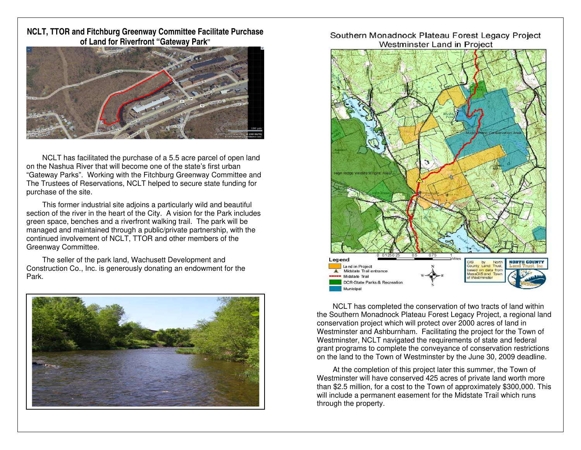**NCLT, TTOR and Fitchburg Greenway Committee Facilitate Purchase of Land for Riverfront "Gateway Park"** 



NCLT has facilitated the purchase of a 5.5 acre parcel of open land on the Nashua River that will become one of the state's first urban "Gateway Parks". Working with the Fitchburg Greenway Committee and The Trustees of Reservations, NCLT helped to secure state funding for purchase of the site.

This former industrial site adjoins a particularly wild and beautiful section of the river in the heart of the City. A vision for the Park includes green space, benches and a riverfront walking trail. The park will be managed and maintained through a public/private partnership, with the continued involvement of NCLT, TTOR and other members of the Greenway Committee.

The seller of the park land, Wachusett Development and Construction Co., Inc. is generously donating an endowment for the Park.



#### Southern Monadnock Plateau Forest Legacy Project Westminster Land in Project



NCLT has completed the conservation of two tracts of land within the Southern Monadnock Plateau Forest Legacy Project, a regional land conservation project which will protect over 2000 acres of land in Westminster and Ashburnham. Facilitating the project for the Town of Westminster, NCLT navigated the requirements of state and federal grant programs to complete the conveyance of conservation restrictions on the land to the Town of Westminster by the June 30, 2009 deadline.

At the completion of this project later this summer, the Town of Westminster will have conserved 425 acres of private land worth more than \$2.5 million, for a cost to the Town of approximately \$300,000. This will include a permanent easement for the Midstate Trail which runs through the property.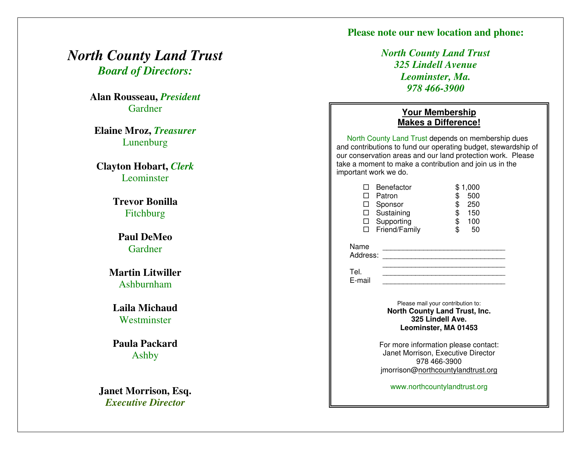### **Please note our new location and phone:**

## *North County Land Trust Board of Directors:*

**Alan Rousseau,** *President* Gardner

**Elaine Mroz,** *Treasurer* Lunenburg

**Clayton Hobart,** *Clerk* **Leominster** 

> **Trevor Bonilla**  Fitchburg

**Paul DeMeo**  Gardner

**Martin Litwiller**  Ashburnham

**Laila Michaud Westminster** 

**Paula Packard**  Ashby

**Janet Morrison, Esq.**  *Executive Director*

*North County Land Trust 325 Lindell Avenue Leominster, Ma. 978 466-3900*

#### **Your Membership Makes a Difference!**

North County Land Trust depends on membership dues and contributions to fund our operating budget, stewardship of our conservation areas and our land protection work. Please take a moment to make a contribution and join us in the important work we do.

| Benefactor        |                 | \$1,000 |
|-------------------|-----------------|---------|
| Patron            | \$              | 500     |
| $\Box$ Sponsor    | \$              | 250     |
| $\Box$ Sustaining | \$              | 150     |
| Supporting        | \$              | 100     |
|                   |                 | 50      |
|                   | □ Friend/Family |         |

Name Address: **and a set of the set of the set of the set of the set of the set of the set of the set of the set of the set of the set of the set of the set of the set of the set of the set of the set of the set of the set of t** 

 $\frac{1}{2}$  ,  $\frac{1}{2}$  ,  $\frac{1}{2}$  ,  $\frac{1}{2}$  ,  $\frac{1}{2}$  ,  $\frac{1}{2}$  ,  $\frac{1}{2}$  ,  $\frac{1}{2}$  ,  $\frac{1}{2}$  ,  $\frac{1}{2}$  ,  $\frac{1}{2}$  ,  $\frac{1}{2}$  ,  $\frac{1}{2}$  ,  $\frac{1}{2}$  ,  $\frac{1}{2}$  ,  $\frac{1}{2}$  ,  $\frac{1}{2}$  ,  $\frac{1}{2}$  ,  $\frac{1$  Tel. \_\_\_\_\_\_\_\_\_\_\_\_\_\_\_\_\_\_\_\_\_\_\_\_\_\_\_\_\_\_ E-mail

Please mail your contribution to: **North County Land Trust, Inc. 325 Lindell Ave. Leominster, MA 01453** 

For more information please contact: Janet Morrison, Executive Director 978 466-3900 jmorrison[@northcountylandtrust.org](http://northcountylandtrust.org/)

www.northcountylandtrust.org